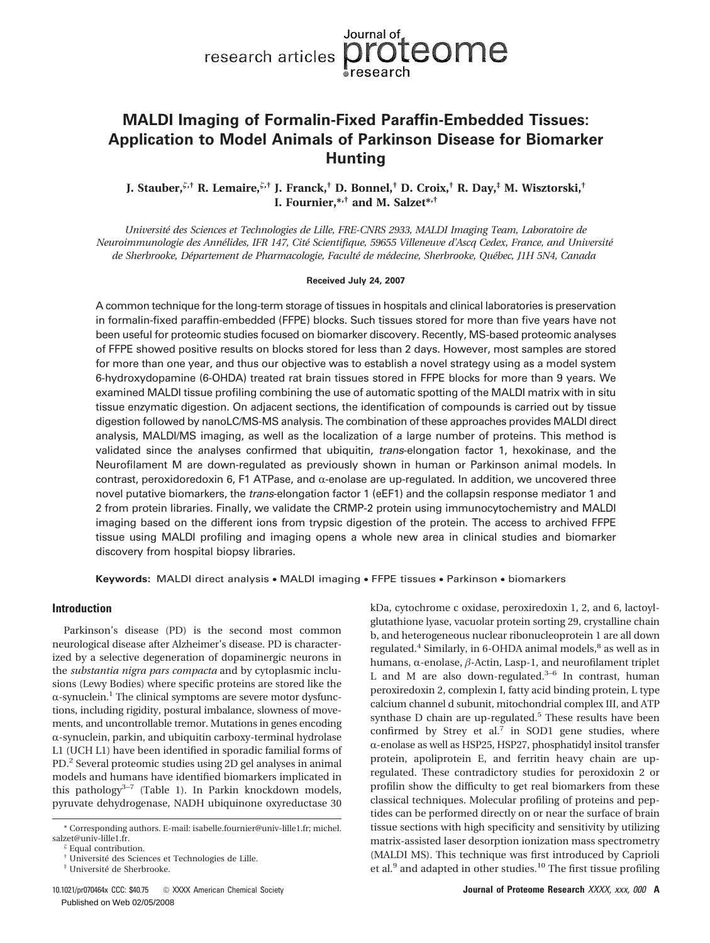

# **MALDI Imaging of Formalin-Fixed Paraffin-Embedded Tissues: Application to Model Animals of Parkinson Disease for Biomarker Hunting**

**J. Stauber,,† R. Lemaire,,† J. Franck,† D. Bonnel,† D. Croix,† R. Day,‡ M. Wisztorski,† I. Fournier,\*,† and M. Salzet\*,†**

*Université des Sciences et Technologies de Lille, FRE-CNRS 2933, MALDI Imaging Team, Laboratoire de Neuroimmunologie des Annélides, IFR 147, Cité Scientifique, 59655 Villeneuve d'Ascq Cedex, France, and Université de Sherbrooke, Département de Pharmacologie, Faculté de médecine, Sherbrooke, Québec, J1H 5N4, Canada*

### **Received July 24, 2007**

A common technique for the long-term storage of tissues in hospitals and clinical laboratories is preservation in formalin-fixed paraffin-embedded (FFPE) blocks. Such tissues stored for more than five years have not been useful for proteomic studies focused on biomarker discovery. Recently, MS-based proteomic analyses of FFPE showed positive results on blocks stored for less than 2 days. However, most samples are stored for more than one year, and thus our objective was to establish a novel strategy using as a model system 6-hydroxydopamine (6-OHDA) treated rat brain tissues stored in FFPE blocks for more than 9 years. We examined MALDI tissue profiling combining the use of automatic spotting of the MALDI matrix with in situ tissue enzymatic digestion. On adjacent sections, the identification of compounds is carried out by tissue digestion followed by nanoLC/MS-MS analysis. The combination of these approaches provides MALDI direct analysis, MALDI/MS imaging, as well as the localization of a large number of proteins. This method is validated since the analyses confirmed that ubiquitin, *trans*-elongation factor 1, hexokinase, and the Neurofilament M are down-regulated as previously shown in human or Parkinson animal models. In contrast, peroxidoredoxin 6, F1 ATPase, and  $\alpha$ -enolase are up-regulated. In addition, we uncovered three novel putative biomarkers, the *trans*-elongation factor 1 (eEF1) and the collapsin response mediator 1 and 2 from protein libraries. Finally, we validate the CRMP-2 protein using immunocytochemistry and MALDI imaging based on the different ions from trypsic digestion of the protein. The access to archived FFPE tissue using MALDI profiling and imaging opens a whole new area in clinical studies and biomarker discovery from hospital biopsy libraries.

**Keywords:** MALDI direct analysis • MALDI imaging • FFPE tissues • Parkinson • biomarkers

## **Introduction**

Parkinson's disease (PD) is the second most common neurological disease after Alzheimer's disease. PD is characterized by a selective degeneration of dopaminergic neurons in the *substantia nigra pars compacta* and by cytoplasmic inclusions (Lewy Bodies) where specific proteins are stored like the  $\alpha$ -synuclein.<sup>1</sup> The clinical symptoms are severe motor dysfunctions, including rigidity, postural imbalance, slowness of movements, and uncontrollable tremor. Mutations in genes encoding  $\alpha$ -synuclein, parkin, and ubiquitin carboxy-terminal hydrolase L1 (UCH L1) have been identified in sporadic familial forms of PD.2 Several proteomic studies using 2D gel analyses in animal models and humans have identified biomarkers implicated in this pathology $3-7$  (Table 1). In Parkin knockdown models, pyruvate dehydrogenase, NADH ubiquinone oxyreductase 30

‡ Université de Sherbrooke.

kDa, cytochrome c oxidase, peroxiredoxin 1, 2, and 6, lactoylglutathione lyase, vacuolar protein sorting 29, crystalline chain b, and heterogeneous nuclear ribonucleoprotein 1 are all down regulated.<sup>4</sup> Similarly, in 6-OHDA animal models,<sup>8</sup> as well as in humans,  $\alpha$ -enolase,  $\beta$ -Actin, Lasp-1, and neurofilament triplet L and M are also down-regulated. $3-6$  In contrast, human peroxiredoxin 2, complexin I, fatty acid binding protein, L type calcium channel d subunit, mitochondrial complex III, and ATP synthase D chain are up-regulated.<sup>5</sup> These results have been confirmed by Strey et al.<sup>7</sup> in SOD1 gene studies, where  $\alpha$ -enolase as well as HSP25, HSP27, phosphatidyl insitol transfer protein, apoliprotein E, and ferritin heavy chain are upregulated. These contradictory studies for peroxidoxin 2 or profilin show the difficulty to get real biomarkers from these classical techniques. Molecular profiling of proteins and peptides can be performed directly on or near the surface of brain tissue sections with high specificity and sensitivity by utilizing matrix-assisted laser desorption ionization mass spectrometry (MALDI MS). This technique was first introduced by Caprioli et al.<sup>9</sup> and adapted in other studies.<sup>10</sup> The first tissue profiling

<sup>\*</sup> Corresponding authors. E-mail: isabelle.fournier@univ-lille1.fr; michel. salzet@univ-lille1.fr. *-*

Equal contribution.

<sup>†</sup> Université des Sciences et Technologies de Lille.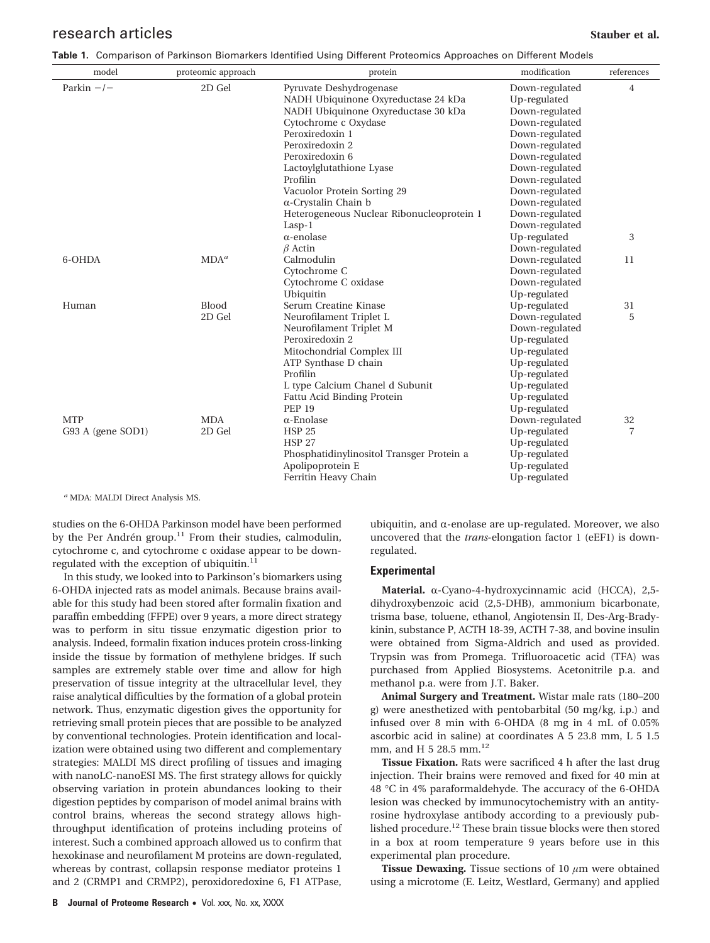## **research articles Stauber et al. Stauber et al. Stauber et al. Stauber et al. Stauber et al.**

|  | Table 1. Comparison of Parkinson Biomarkers Identified Using Different Proteomics Approaches on Different Models |  |  |  |  |  |  |  |  |  |
|--|------------------------------------------------------------------------------------------------------------------|--|--|--|--|--|--|--|--|--|
|--|------------------------------------------------------------------------------------------------------------------|--|--|--|--|--|--|--|--|--|

| model             | proteomic approach | protein                                   | modification   | references     |
|-------------------|--------------------|-------------------------------------------|----------------|----------------|
| Parkin $-/-$      | 2D Gel             | Pyruvate Deshydrogenase                   | Down-regulated | $\overline{4}$ |
|                   |                    | NADH Ubiquinone Oxyreductase 24 kDa       | Up-regulated   |                |
|                   |                    | NADH Ubiquinone Oxyreductase 30 kDa       | Down-regulated |                |
|                   |                    | Cytochrome c Oxydase                      | Down-regulated |                |
|                   |                    | Peroxiredoxin 1                           | Down-regulated |                |
|                   |                    | Peroxiredoxin 2                           | Down-regulated |                |
|                   |                    | Peroxiredoxin 6                           | Down-regulated |                |
|                   |                    | Lactoylglutathione Lyase                  | Down-regulated |                |
|                   |                    | Profilin                                  | Down-regulated |                |
|                   |                    | Vacuolor Protein Sorting 29               | Down-regulated |                |
|                   |                    | $\alpha$ -Crystalin Chain b               | Down-regulated |                |
|                   |                    | Heterogeneous Nuclear Ribonucleoprotein 1 | Down-regulated |                |
|                   |                    | $Lasp-1$                                  | Down-regulated |                |
|                   |                    | $\alpha$ -enolase                         | Up-regulated   | 3              |
|                   |                    | $\beta$ Actin                             | Down-regulated |                |
| 6-OHDA            | MDA <sup>a</sup>   | Calmodulin                                | Down-regulated | 11             |
|                   |                    | Cytochrome C                              | Down-regulated |                |
|                   |                    | Cytochrome C oxidase                      | Down-regulated |                |
|                   |                    | Ubiquitin                                 | Up-regulated   |                |
| Human             | <b>Blood</b>       | Serum Creatine Kinase                     | Up-regulated   | 31             |
|                   | 2D Gel             | Neurofilament Triplet L                   | Down-regulated | 5              |
|                   |                    | Neurofilament Triplet M                   | Down-regulated |                |
|                   |                    | Peroxiredoxin 2                           | Up-regulated   |                |
|                   |                    | Mitochondrial Complex III                 | Up-regulated   |                |
|                   |                    | ATP Synthase D chain                      | Up-regulated   |                |
|                   |                    | Profilin                                  | Up-regulated   |                |
|                   |                    | L type Calcium Chanel d Subunit           | Up-regulated   |                |
|                   |                    | Fattu Acid Binding Protein                | Up-regulated   |                |
|                   |                    | <b>PEP 19</b>                             | Up-regulated   |                |
| <b>MTP</b>        | <b>MDA</b>         | $\alpha$ -Enolase                         | Down-regulated | 32             |
| G93 A (gene SOD1) | 2D Gel             | <b>HSP 25</b>                             | Up-regulated   | 7              |
|                   |                    | <b>HSP 27</b>                             | Up-regulated   |                |
|                   |                    | Phosphatidinylinositol Transger Protein a | Up-regulated   |                |
|                   |                    | Apolipoprotein E                          | Up-regulated   |                |
|                   |                    | Ferritin Heavy Chain                      | Up-regulated   |                |

*<sup>a</sup>* MDA: MALDI Direct Analysis MS.

studies on the 6-OHDA Parkinson model have been performed by the Per Andrén group.<sup>11</sup> From their studies, calmodulin, cytochrome c, and cytochrome c oxidase appear to be downregulated with the exception of ubiquitin.<sup>11</sup>

In this study, we looked into to Parkinson's biomarkers using 6-OHDA injected rats as model animals. Because brains available for this study had been stored after formalin fixation and paraffin embedding (FFPE) over 9 years, a more direct strategy was to perform in situ tissue enzymatic digestion prior to analysis. Indeed, formalin fixation induces protein cross-linking inside the tissue by formation of methylene bridges. If such samples are extremely stable over time and allow for high preservation of tissue integrity at the ultracellular level, they raise analytical difficulties by the formation of a global protein network. Thus, enzymatic digestion gives the opportunity for retrieving small protein pieces that are possible to be analyzed by conventional technologies. Protein identification and localization were obtained using two different and complementary strategies: MALDI MS direct profiling of tissues and imaging with nanoLC-nanoESI MS. The first strategy allows for quickly observing variation in protein abundances looking to their digestion peptides by comparison of model animal brains with control brains, whereas the second strategy allows highthroughput identification of proteins including proteins of interest. Such a combined approach allowed us to confirm that hexokinase and neurofilament M proteins are down-regulated, whereas by contrast, collapsin response mediator proteins 1 and 2 (CRMP1 and CRMP2), peroxidoredoxine 6, F1 ATPase,

ubiquitin, and  $\alpha$ -enolase are up-regulated. Moreover, we also uncovered that the *trans*-elongation factor 1 (eEF1) is downregulated.

### **Experimental**

**Material.** α-Cyano-4-hydroxycinnamic acid (HCCA), 2,5dihydroxybenzoic acid (2,5-DHB), ammonium bicarbonate, trisma base, toluene, ethanol, Angiotensin II, Des-Arg-Bradykinin, substance P, ACTH 18-39, ACTH 7-38, and bovine insulin were obtained from Sigma-Aldrich and used as provided. Trypsin was from Promega. Trifluoroacetic acid (TFA) was purchased from Applied Biosystems. Acetonitrile p.a. and methanol p.a. were from J.T. Baker.

**Animal Surgery and Treatment.** Wistar male rats (180–200 g) were anesthetized with pentobarbital (50 mg/kg, i.p.) and infused over 8 min with 6-OHDA (8 mg in 4 mL of 0.05% ascorbic acid in saline) at coordinates A 5 23.8 mm, L 5 1.5 mm, and H 5 28.5 mm.<sup>12</sup>

**Tissue Fixation.** Rats were sacrificed 4 h after the last drug injection. Their brains were removed and fixed for 40 min at 48 °C in 4% paraformaldehyde. The accuracy of the 6-OHDA lesion was checked by immunocytochemistry with an antityrosine hydroxylase antibody according to a previously published procedure.<sup>12</sup> These brain tissue blocks were then stored in a box at room temperature 9 years before use in this experimental plan procedure.

**Tissue Dewaxing.** Tissue sections of 10 *µ*m were obtained using a microtome (E. Leitz, Westlard, Germany) and applied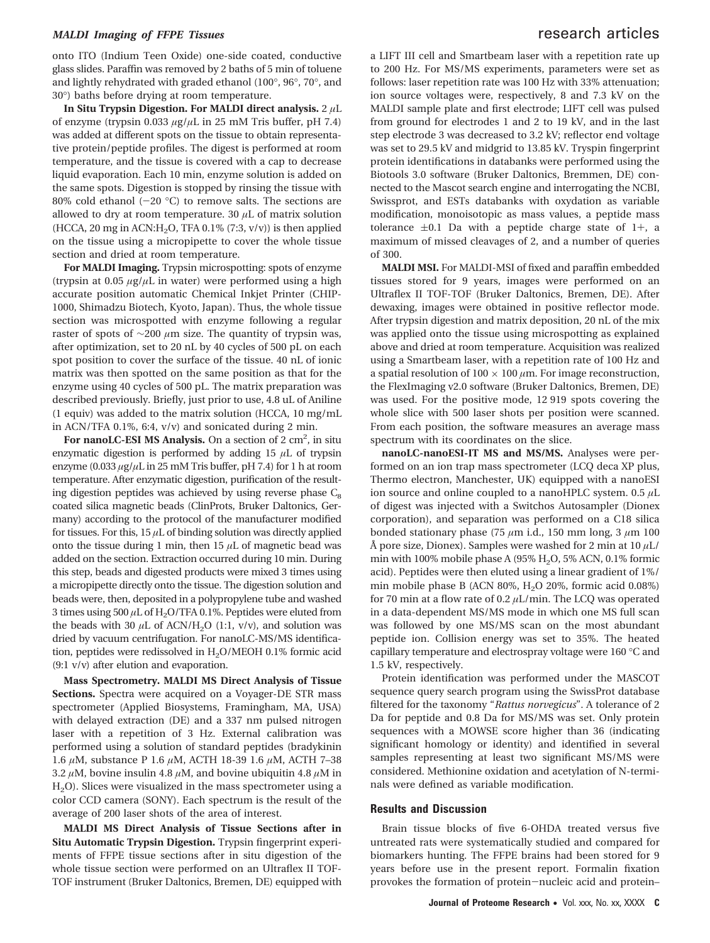## *MALDI Imaging of FFPE Tissues* research articles

onto ITO (Indium Teen Oxide) one-side coated, conductive glass slides. Paraffin was removed by 2 baths of 5 min of toluene and lightly rehydrated with graded ethanol (100°, 96°, 70°, and 30°) baths before drying at room temperature.

**In Situ Trypsin Digestion. For MALDI direct analysis.** 2 *µ*L of enzyme (trypsin 0.033 *µ*g/*µ*L in 25 mM Tris buffer, pH 7.4) was added at different spots on the tissue to obtain representative protein/peptide profiles. The digest is performed at room temperature, and the tissue is covered with a cap to decrease liquid evaporation. Each 10 min, enzyme solution is added on the same spots. Digestion is stopped by rinsing the tissue with 80% cold ethanol  $(-20 \degree C)$  to remove salts. The sections are allowed to dry at room temperature. 30 *µ*L of matrix solution (HCCA, 20 mg in ACN:H<sub>2</sub>O, TFA 0.1% (7:3,  $v/v$ )) is then applied on the tissue using a micropipette to cover the whole tissue section and dried at room temperature.

**For MALDI Imaging.** Trypsin microspotting: spots of enzyme (trypsin at 0.05  $\mu$ g/ $\mu$ L in water) were performed using a high accurate position automatic Chemical Inkjet Printer (CHIP-1000, Shimadzu Biotech, Kyoto, Japan). Thus, the whole tissue section was microspotted with enzyme following a regular raster of spots of ∼200 *µ*m size. The quantity of trypsin was, after optimization, set to 20 nL by 40 cycles of 500 pL on each spot position to cover the surface of the tissue. 40 nL of ionic matrix was then spotted on the same position as that for the enzyme using 40 cycles of 500 pL. The matrix preparation was described previously. Briefly, just prior to use, 4.8 uL of Aniline (1 equiv) was added to the matrix solution (HCCA, 10 mg/mL in ACN/TFA 0.1%, 6:4, v/v) and sonicated during 2 min.

For nanoLC-ESI MS Analysis. On a section of 2 cm<sup>2</sup>, in situ enzymatic digestion is performed by adding 15 *µ*L of trypsin enzyme (0.033 *µ*g/*µ*L in 25 mM Tris buffer, pH 7.4) for 1 h at room temperature. After enzymatic digestion, purification of the resulting digestion peptides was achieved by using reverse phase  $C_8$ coated silica magnetic beads (ClinProts, Bruker Daltonics, Germany) according to the protocol of the manufacturer modified for tissues. For this,  $15 \mu L$  of binding solution was directly applied onto the tissue during 1 min, then  $15 \mu L$  of magnetic bead was added on the section. Extraction occurred during 10 min. During this step, beads and digested products were mixed 3 times using a micropipette directly onto the tissue. The digestion solution and beads were, then, deposited in a polypropylene tube and washed 3 times using  $500 \mu L$  of H<sub>2</sub>O/TFA 0.1%. Peptides were eluted from the beads with 30  $\mu$ L of ACN/H<sub>2</sub>O (1:1, v/v), and solution was dried by vacuum centrifugation. For nanoLC-MS/MS identification, peptides were redissolved in H<sub>2</sub>O/MEOH 0.1% formic acid (9:1 v/v) after elution and evaporation.

**Mass Spectrometry. MALDI MS Direct Analysis of Tissue Sections.** Spectra were acquired on a Voyager-DE STR mass spectrometer (Applied Biosystems, Framingham, MA, USA) with delayed extraction (DE) and a 337 nm pulsed nitrogen laser with a repetition of 3 Hz. External calibration was performed using a solution of standard peptides (bradykinin 1.6 *µ*M, substance P 1.6 *µ*M, ACTH 18-39 1.6 *µ*M, ACTH 7–38 3.2  $\mu$ M, bovine insulin 4.8  $\mu$ M, and bovine ubiquitin 4.8  $\mu$ M in H2O). Slices were visualized in the mass spectrometer using a color CCD camera (SONY). Each spectrum is the result of the average of 200 laser shots of the area of interest.

**MALDI MS Direct Analysis of Tissue Sections after in Situ Automatic Trypsin Digestion.** Trypsin fingerprint experiments of FFPE tissue sections after in situ digestion of the whole tissue section were performed on an Ultraflex II TOF-TOF instrument (Bruker Daltonics, Bremen, DE) equipped with

a LIFT III cell and Smartbeam laser with a repetition rate up to 200 Hz. For MS/MS experiments, parameters were set as follows: laser repetition rate was 100 Hz with 33% attenuation; ion source voltages were, respectively, 8 and 7.3 kV on the MALDI sample plate and first electrode; LIFT cell was pulsed from ground for electrodes 1 and 2 to 19 kV, and in the last step electrode 3 was decreased to 3.2 kV; reflector end voltage was set to 29.5 kV and midgrid to 13.85 kV. Tryspin fingerprint protein identifications in databanks were performed using the Biotools 3.0 software (Bruker Daltonics, Bremmen, DE) connected to the Mascot search engine and interrogating the NCBI, Swissprot, and ESTs databanks with oxydation as variable modification, monoisotopic as mass values, a peptide mass tolerance  $\pm 0.1$  Da with a peptide charge state of 1+, a maximum of missed cleavages of 2, and a number of queries of 300.

**MALDI MSI.** For MALDI-MSI of fixed and paraffin embedded tissues stored for 9 years, images were performed on an Ultraflex II TOF-TOF (Bruker Daltonics, Bremen, DE). After dewaxing, images were obtained in positive reflector mode. After trypsin digestion and matrix deposition, 20 nL of the mix was applied onto the tissue using microspotting as explained above and dried at room temperature. Acquisition was realized using a Smartbeam laser, with a repetition rate of 100 Hz and a spatial resolution of  $100 \times 100 \mu$ m. For image reconstruction, the FlexImaging v2.0 software (Bruker Daltonics, Bremen, DE) was used. For the positive mode, 12 919 spots covering the whole slice with 500 laser shots per position were scanned. From each position, the software measures an average mass spectrum with its coordinates on the slice.

**nanoLC-nanoESI-IT MS and MS/MS.** Analyses were performed on an ion trap mass spectrometer (LCQ deca XP plus, Thermo electron, Manchester, UK) equipped with a nanoESI ion source and online coupled to a nanoHPLC system. 0.5 *µ*L of digest was injected with a Switchos Autosampler (Dionex corporation), and separation was performed on a C18 silica bonded stationary phase (75 *µ*m i.d., 150 mm long, 3 *µ*m 100 Å pore size, Dionex). Samples were washed for 2 min at 10 *µ*L/ min with 100% mobile phase A (95%  $H<sub>2</sub>O$ , 5% ACN, 0.1% formic acid). Peptides were then eluted using a linear gradient of 1%/ min mobile phase B (ACN 80%,  $H<sub>2</sub>O$  20%, formic acid 0.08%) for 70 min at a flow rate of 0.2 *µ*L/min. The LCQ was operated in a data-dependent MS/MS mode in which one MS full scan was followed by one MS/MS scan on the most abundant peptide ion. Collision energy was set to 35%. The heated capillary temperature and electrospray voltage were 160 °C and 1.5 kV, respectively.

Protein identification was performed under the MASCOT sequence query search program using the SwissProt database filtered for the taxonomy "*Rattus norvegicus*". A tolerance of 2 Da for peptide and 0.8 Da for MS/MS was set. Only protein sequences with a MOWSE score higher than 36 (indicating significant homology or identity) and identified in several samples representing at least two significant MS/MS were considered. Methionine oxidation and acetylation of N-terminals were defined as variable modification.

### **Results and Discussion**

Brain tissue blocks of five 6-OHDA treated versus five untreated rats were systematically studied and compared for biomarkers hunting. The FFPE brains had been stored for 9 years before use in the present report. Formalin fixation provokes the formation of protein-nucleic acid and protein–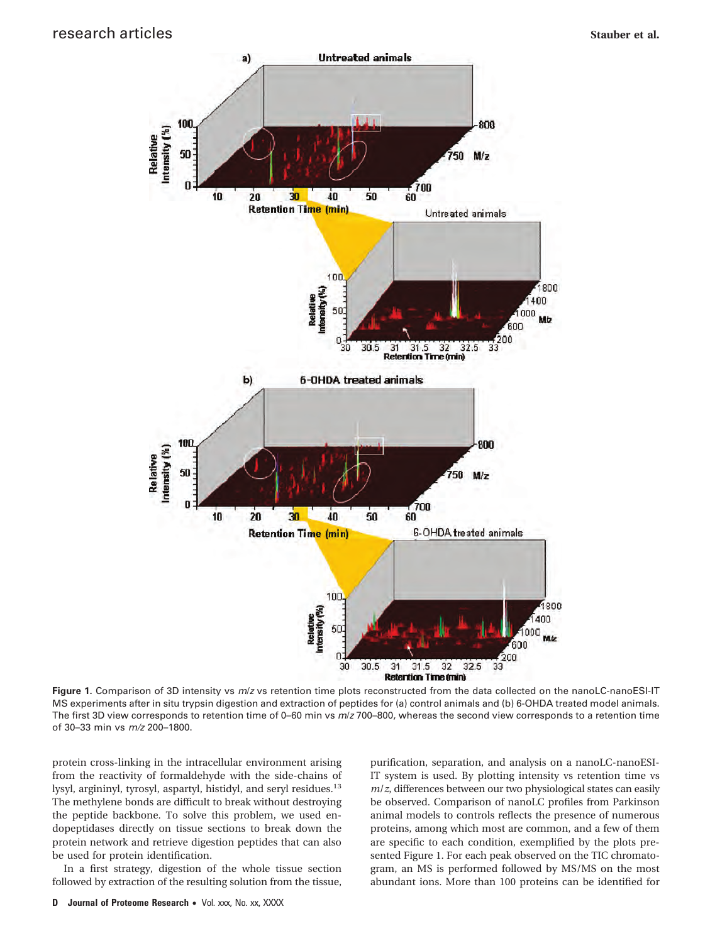

**Figure 1.** Comparison of 3D intensity vs *m*/*z* vs retention time plots reconstructed from the data collected on the nanoLC-nanoESI-IT MS experiments after in situ trypsin digestion and extraction of peptides for (a) control animals and (b) 6-OHDA treated model animals. The first 3D view corresponds to retention time of 0–60 min vs *m*/*z* 700–800, whereas the second view corresponds to a retention time of 30–33 min vs *m/z* 200–1800.

protein cross-linking in the intracellular environment arising from the reactivity of formaldehyde with the side-chains of lysyl, argininyl, tyrosyl, aspartyl, histidyl, and seryl residues.<sup>13</sup> The methylene bonds are difficult to break without destroying the peptide backbone. To solve this problem, we used endopeptidases directly on tissue sections to break down the protein network and retrieve digestion peptides that can also be used for protein identification.

In a first strategy, digestion of the whole tissue section followed by extraction of the resulting solution from the tissue, purification, separation, and analysis on a nanoLC-nanoESI-IT system is used. By plotting intensity vs retention time vs *m*/*z*, differences between our two physiological states can easily be observed. Comparison of nanoLC profiles from Parkinson animal models to controls reflects the presence of numerous proteins, among which most are common, and a few of them are specific to each condition, exemplified by the plots presented Figure 1. For each peak observed on the TIC chromatogram, an MS is performed followed by MS/MS on the most abundant ions. More than 100 proteins can be identified for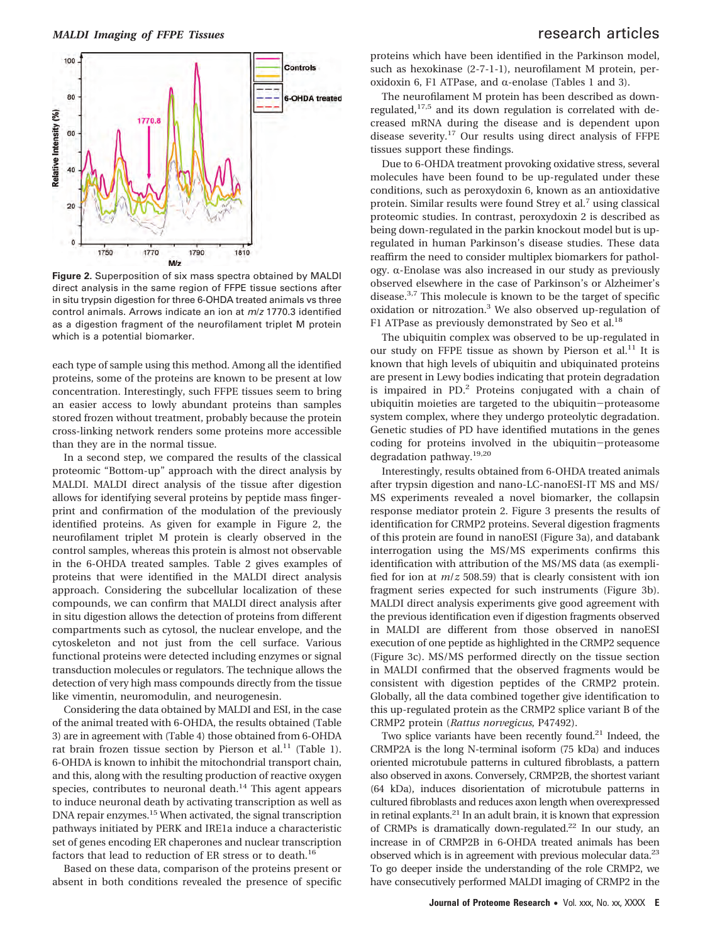

**Figure 2.** Superposition of six mass spectra obtained by MALDI direct analysis in the same region of FFPE tissue sections after in situ trypsin digestion for three 6-OHDA treated animals vs three control animals. Arrows indicate an ion at *m*/*z* 1770.3 identified as a digestion fragment of the neurofilament triplet M protein which is a potential biomarker.

each type of sample using this method. Among all the identified proteins, some of the proteins are known to be present at low concentration. Interestingly, such FFPE tissues seem to bring an easier access to lowly abundant proteins than samples stored frozen without treatment, probably because the protein cross-linking network renders some proteins more accessible than they are in the normal tissue.

In a second step, we compared the results of the classical proteomic "Bottom-up" approach with the direct analysis by MALDI. MALDI direct analysis of the tissue after digestion allows for identifying several proteins by peptide mass fingerprint and confirmation of the modulation of the previously identified proteins. As given for example in Figure 2, the neurofilament triplet M protein is clearly observed in the control samples, whereas this protein is almost not observable in the 6-OHDA treated samples. Table 2 gives examples of proteins that were identified in the MALDI direct analysis approach. Considering the subcellular localization of these compounds, we can confirm that MALDI direct analysis after in situ digestion allows the detection of proteins from different compartments such as cytosol, the nuclear envelope, and the cytoskeleton and not just from the cell surface. Various functional proteins were detected including enzymes or signal transduction molecules or regulators. The technique allows the detection of very high mass compounds directly from the tissue like vimentin, neuromodulin, and neurogenesin.

Considering the data obtained by MALDI and ESI, in the case of the animal treated with 6-OHDA, the results obtained (Table 3) are in agreement with (Table 4) those obtained from 6-OHDA rat brain frozen tissue section by Pierson et al.<sup>11</sup> (Table 1). 6-OHDA is known to inhibit the mitochondrial transport chain, and this, along with the resulting production of reactive oxygen species, contributes to neuronal death.<sup>14</sup> This agent appears to induce neuronal death by activating transcription as well as DNA repair enzymes.15 When activated, the signal transcription pathways initiated by PERK and IRE1a induce a characteristic set of genes encoding ER chaperones and nuclear transcription factors that lead to reduction of ER stress or to death.<sup>16</sup>

Based on these data, comparison of the proteins present or absent in both conditions revealed the presence of specific

proteins which have been identified in the Parkinson model, such as hexokinase (2-7-1-1), neurofilament M protein, peroxidoxin 6, F1 ATPase, and  $\alpha$ -enolase (Tables 1 and 3).

The neurofilament M protein has been described as downregulated,17,5 and its down regulation is correlated with decreased mRNA during the disease and is dependent upon disease severity.17 Our results using direct analysis of FFPE tissues support these findings.

Due to 6-OHDA treatment provoking oxidative stress, several molecules have been found to be up-regulated under these conditions, such as peroxydoxin 6, known as an antioxidative protein. Similar results were found Strey et al.<sup>7</sup> using classical proteomic studies. In contrast, peroxydoxin 2 is described as being down-regulated in the parkin knockout model but is upregulated in human Parkinson's disease studies. These data reaffirm the need to consider multiplex biomarkers for pathology.  $\alpha$ -Enolase was also increased in our study as previously observed elsewhere in the case of Parkinson's or Alzheimer's disease.3,7 This molecule is known to be the target of specific oxidation or nitrozation.3 We also observed up-regulation of F1 ATPase as previously demonstrated by Seo et al.<sup>18</sup>

The ubiquitin complex was observed to be up-regulated in our study on FFPE tissue as shown by Pierson et al.<sup>11</sup> It is known that high levels of ubiquitin and ubiquinated proteins are present in Lewy bodies indicating that protein degradation is impaired in PD.<sup>2</sup> Proteins conjugated with a chain of ubiquitin moieties are targeted to the ubiquitin-proteasome system complex, where they undergo proteolytic degradation. Genetic studies of PD have identified mutations in the genes coding for proteins involved in the ubiquitin-proteasome degradation pathway.19,20

Interestingly, results obtained from 6-OHDA treated animals after trypsin digestion and nano-LC-nanoESI-IT MS and MS/ MS experiments revealed a novel biomarker, the collapsin response mediator protein 2. Figure 3 presents the results of identification for CRMP2 proteins. Several digestion fragments of this protein are found in nanoESI (Figure 3a), and databank interrogation using the MS/MS experiments confirms this identification with attribution of the MS/MS data (as exemplified for ion at *m*/*z* 508.59) that is clearly consistent with ion fragment series expected for such instruments (Figure 3b). MALDI direct analysis experiments give good agreement with the previous identification even if digestion fragments observed in MALDI are different from those observed in nanoESI execution of one peptide as highlighted in the CRMP2 sequence (Figure 3c). MS/MS performed directly on the tissue section in MALDI confirmed that the observed fragments would be consistent with digestion peptides of the CRMP2 protein. Globally, all the data combined together give identification to this up-regulated protein as the CRMP2 splice variant B of the CRMP2 protein (*Rattus norvegicus*, P47492).

Two splice variants have been recently found.<sup>21</sup> Indeed, the CRMP2A is the long N-terminal isoform (75 kDa) and induces oriented microtubule patterns in cultured fibroblasts, a pattern also observed in axons. Conversely, CRMP2B, the shortest variant (64 kDa), induces disorientation of microtubule patterns in cultured fibroblasts and reduces axon length when overexpressed in retinal explants.21 In an adult brain, it is known that expression of CRMPs is dramatically down-regulated.22 In our study, an increase in of CRMP2B in 6-OHDA treated animals has been observed which is in agreement with previous molecular data.23 To go deeper inside the understanding of the role CRMP2, we have consecutively performed MALDI imaging of CRMP2 in the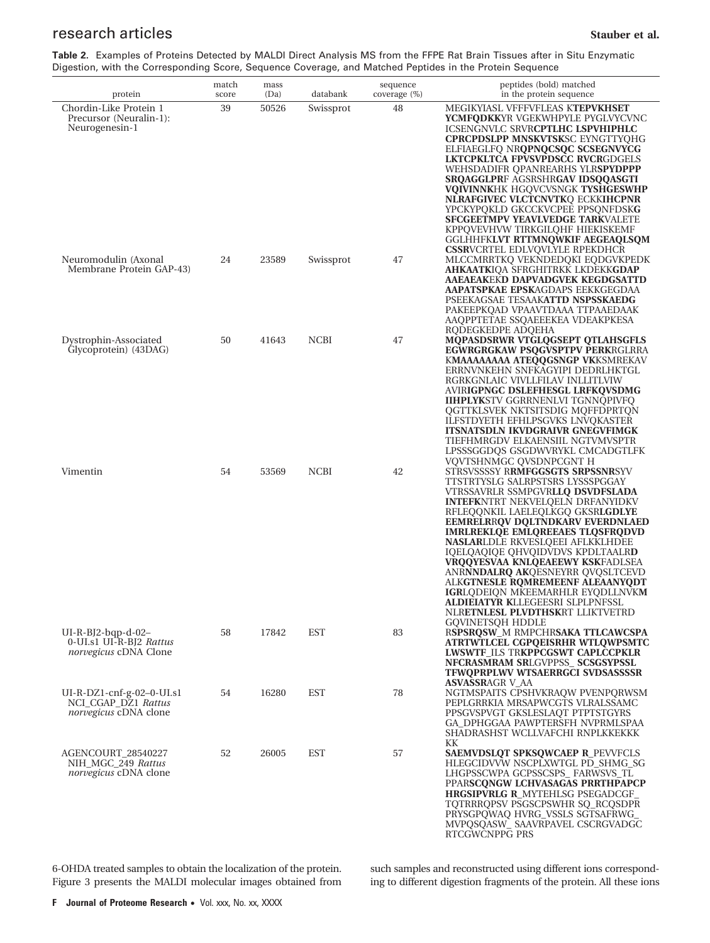# **research articles Stauber et al. Stauber et al. Stauber et al. Stauber et al.**

**Table 2.** Examples of Proteins Detected by MALDI Direct Analysis MS from the FFPE Rat Brain Tissues after in Situ Enzymatic Digestion, with the Corresponding Score, Sequence Coverage, and Matched Peptides in the Protein Sequence

| protein                                                                            | match<br>score | mass<br>(Da) | databank    | sequence<br>coverage (%) | peptides (bold) matched<br>in the protein sequence                                                                                                                                                                                                                                                                                                                                                                                                                                                                                                                                                                   |
|------------------------------------------------------------------------------------|----------------|--------------|-------------|--------------------------|----------------------------------------------------------------------------------------------------------------------------------------------------------------------------------------------------------------------------------------------------------------------------------------------------------------------------------------------------------------------------------------------------------------------------------------------------------------------------------------------------------------------------------------------------------------------------------------------------------------------|
| Chordin-Like Protein 1<br>Precursor (Neuralin-1):<br>Neurogenesin-1                | 39             | 50526        | Swissprot   | 48                       | MEGIKYIASL VFFFVFLEAS KTEPVKHSET<br><b>YCMFQDKKYR VGEKWHPYLE PYGLVYCVNC</b><br><b>ICSENGNVLC SRVRCPTLHC LSPVHIPHLC</b><br><b>CPRCPDSLPP MNSKVTSKSC EYNGTTYQHG</b><br>ELFIAEGLFQ NRQPNQCSQC SCSEGNVYCG<br>LKTCPKLTCA FPVSVPDSCC RVCRGDGELS<br>WEHSDADIFR QPANREARHS YLR <b>SPYDPPP</b><br><b>SRQAGGLPRF AGSRSHRGAV IDSQQASGTI</b><br><b>VQIVINNKHK HGQVCVSNGK TYSHGESWHP</b><br>NLRAFGIVEC VLCTCNVTKQ ECKKIHCPNR<br>YPCKYPQKLD GKCCKVCPEE PPSQNFDSKG<br><b>SFCGEETMPV YEAVLVEDGE TARKVALETE</b><br>KPPQVEVHVW TIRKGILQHF HIEKISKEMF<br>GGLHHFKLVT RTTMNQWKIF AEGEAQLSQM<br><b>CSSRVCRTEL EDLVOVLYLE RPEKDHCR</b>      |
| Neuromodulin (Axonal<br>Membrane Protein GAP-43)                                   | 24             | 23589        | Swissprot   | 47                       | MLCCMRRTKQ VEKNDEDQKI EQDGVKPEDK<br><b>AHKAATKIOA SFRGHITRKK LKDEKKGDAP</b><br>AAEAEAKEKD DAPVADGVEK KEGDGSATTD<br><b>AAPATSPKAE EPSKAGDAPS EEKKGEGDAA</b><br>PSEEKAGSAE TESAAKATTD NSPSSKAEDG<br>PAKEEPKQAD VPAAVTDAAA TTPAAEDAAK<br>AAQPPTETAE SSQAEEEKEA VDEAKPKESA<br>RQDEGKEDPE ADQEHA                                                                                                                                                                                                                                                                                                                          |
| Dystrophin-Associated<br>Glycoprotein) (43DAG)                                     | 50             | 41643        | <b>NCBI</b> | 47                       | <b>MQPASDSRWR VTGLQGSEPT QTLAHSGFLS</b><br><b>EGWRGRGKAW PSQGVSPTPV PERKRGLRRA</b><br>KMAAAAAAAA ATEOOGSNGP VKKSMREKAV<br>ERRNVNKEHN SNFKAGYIPI DEDRLHKTGL<br>RGRKGNLAIC VIVLLFILAV INLLITLVIW<br>AVIRIGPNGC DSLEFHESGL LRFKQVSDMG<br><b>IIHPLYKSTV GGRRNENLVI TGNNQPIVFQ</b><br>QGTTKLSVEK NKTSITSDIG MQFFDPRTQN<br>ILFSTDYETH EFHLPSGVKS LNVQKASTER<br><b>ITSNATSDLN IKVDGRAIVR GNEGVFIMGK</b><br>TIEFHMRGDV ELKAENSIIL NGTVMVSPTR<br>LPSSSGGDQS GSGDWVRYKL CMCADGTLFK<br>VQVTSHNMGC QVSDNPCGNT H                                                                                                                  |
| Vimentin                                                                           | 54             | 53569        | <b>NCBI</b> | 42                       | STRSVSSSSY RRMFGGSGTS SRPSSNRSYV<br>TTSTRTYSLG SALRPSTSRS LYSSSPGGAY<br>VTRSSAVRLR SSMPGVR <b>LLQ DSVDFSLADA</b><br><b>INTEFKNTRT NEKVELQELN DRFANYIDKV</b><br>RFLEQQNKIL LAELEQLKGQ GKSRLGDLYE<br><b>EEMRELRRQV DQLTNDKARV EVERDNLAED</b><br><b>IMRLREKLQE EMLQREEAES TLQSFRQDVD</b><br>NASLARLDLE RKVESLQEEI AFLKKLHDEE<br><b>IOELOAOIOE OHVOIDVDVS KPDLTAALRD</b><br>VRQQYESVAA KNLQEAEEWY KSKFADLSEA<br>ANRNNDALRQ AKQESNEYRR QVQSLTCEVD<br>ALKGTNESLE ROMREMEENF ALEAANYODT<br><b>IGRLODEION MKEEMARHLR EYODLLNVKM</b><br><b>ALDIEIATYR K</b> LLEGEESRI SLPLPNFSSL<br>NLR <b>ETNLESL PLVDTHSK</b> RT LLIKTVETRD |
| $UI-R-BJ2-bqp-d-02-$<br>0-UI.s1 UI-R-BJ2 Rattus<br><i>norvegicus</i> cDNA Clone    | 58             | 17842        | <b>EST</b>  | 83                       | <b>GQVINETSQH HDDLE</b><br>RSPSRQSW_M RMPCHRSAKA TTLCAWCSPA<br>ATRTWTLCEL CGPQEISRHR WTLQWPSMTC<br><b>LWSWTF ILS TRKPPCGSWT CAPLCCPKLR</b><br>NFCRASMRAM SRLGVPPSS_SCSGSYPSSL<br><b>TFWQPRPLWV WTSAERRGCI SVDSASSSSR</b>                                                                                                                                                                                                                                                                                                                                                                                             |
| $UI-R-DZ1-cnf-g-02-0-UI.s1$<br>NCI_CGAP_DZ1 Rattus<br><i>norvegicus</i> cDNA clone | 54             | 16280        | <b>EST</b>  | 78                       | <b>ASVASSR</b> AGR V_AA<br>NGTMSPAITS CPSHVKRAQW PVENPQRWSM<br>PEPLGRRKIA MRSAPWCGTS VLRALSSAMC<br>PPSGVSPVGT GKSLESLAQT PTPTSTGYRS<br>GA_DPHGGAA PAWPTERSFH NVPRMLSPAA<br>SHADRASHST WCLLVAFCHI RNPLKKEKKK<br>KК                                                                                                                                                                                                                                                                                                                                                                                                    |
| AGENCOURT_28540227<br>NIH_MGC_249 Rattus<br><i>norvegicus</i> cDNA clone           | 52             | 26005        | <b>EST</b>  | 57                       | <b>SAEMVDSLQT SPKSQWCAEP R_PEVVFCLS</b><br>HLEGCIDVVW NSCPLXWTGL PD_SHMG_SG<br>LHGPSSCWPA GCPSSCSPS_FARWSVS_TL<br>PPARSCQNGW LCHVASAGAS PRRTHPAPCP<br><b>HRGSIPVRLG R_MYTEHLSG PSEGADCGF</b><br>TQTRRRQPSV PSGSCPSWHR SQ_RCQSDPR<br>PRYSGPQWAQ HVRG_VSSLS SGTSAFRWG_<br>MVPQSQASW_SAAVRPAVEL CSCRGVADGC<br>RTCGWCNPPG PRS                                                                                                                                                                                                                                                                                            |

6-OHDA treated samples to obtain the localization of the protein. Figure 3 presents the MALDI molecular images obtained from such samples and reconstructed using different ions corresponding to different digestion fragments of the protein. All these ions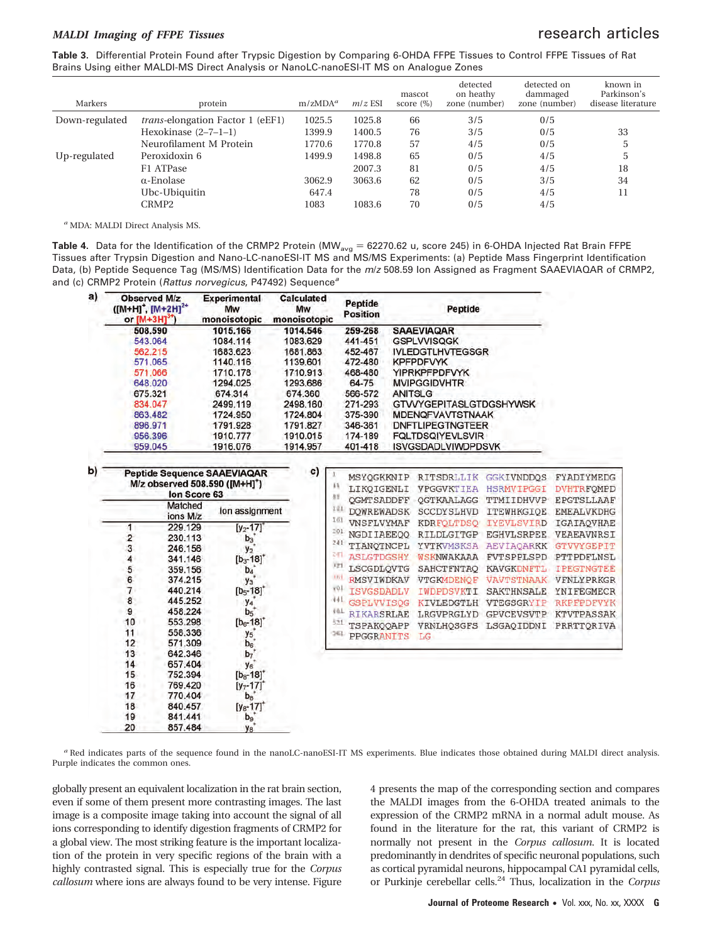## *MALDI Imaging of FFPE Tissues* research articles

**Table 3.** Differential Protein Found after Trypsic Digestion by Comparing 6-OHDA FFPE Tissues to Control FFPE Tissues of Rat Brains Using either MALDI-MS Direct Analysis or NanoLC-nanoESI-IT MS on Analogue Zones

| Markers        | protein                                 | $m/zMDA^a$ | $m/z$ ESI | mascot<br>score $(\%)$ | detected<br>on heathy<br>zone (number) | detected on<br>dammaged<br>zone (number) | known in<br>Parkinson's<br>disease literature |
|----------------|-----------------------------------------|------------|-----------|------------------------|----------------------------------------|------------------------------------------|-----------------------------------------------|
| Down-regulated | <i>trans-elongation Factor 1 (eEF1)</i> | 1025.5     | 1025.8    | 66                     | 3/5                                    | 0/5                                      |                                               |
|                | Hexokinase $(2-7-1-1)$                  | 1399.9     | 1400.5    | 76                     | 3/5                                    | 0/5                                      | 33                                            |
|                | Neurofilament M Protein                 | 1770.6     | 1770.8    | 57                     | 4/5                                    | 0/5                                      | 5                                             |
| Up-regulated   | Peroxidoxin 6                           | 1499.9     | 1498.8    | 65                     | 0/5                                    | 4/5                                      | 5                                             |
|                | F1 ATPase                               |            | 2007.3    | 81                     | 0/5                                    | 4/5                                      | 18                                            |
|                | $\alpha$ -Enolase                       | 3062.9     | 3063.6    | 62                     | 0/5                                    | 3/5                                      | 34                                            |
|                | Ubc-Ubiquitin                           | 647.4      |           | 78                     | 0/5                                    | 4/5                                      | 11                                            |
|                | CRMP <sub>2</sub>                       | 1083       | 1083.6    | 70                     | 0/5                                    | 4/5                                      |                                               |

*<sup>a</sup>* MDA: MALDI Direct Analysis MS.

**Table 4.** Data for the Identification of the CRMP2 Protein (MW<sub>avg</sub> = 62270.62 u, score 245) in 6-OHDA Injected Rat Brain FFPE Tissues after Trypsin Digestion and Nano-LC-nanoESI-IT MS and MS/MS Experiments: (a) Peptide Mass Fingerprint Identification Data, (b) Peptide Sequence Tag (MS/MS) Identification Data for the *m*/*z* 508.59 Ion Assigned as Fragment SAAEVIAQAR of CRMP2, and (c) CRMP2 Protein (*Rattus norvegicus*, P47492) Sequence*<sup>a</sup>*

| a) | <b>Observed M/z</b><br>([M+H] <sup>+</sup> , [M+2H] <sup>2+</sup><br>or $[M+3H]$ <sup>3+</sup>                                                                                      |                | <b>Experimental</b><br>Mw<br>monoisotopic   | <b>Calculated</b><br>Mw<br>monoisotopic |                                        | Peptide<br><b>Position</b>                                                                                   |                           | Peptide                                                                          |                                                                                                                     |                                                      |
|----|-------------------------------------------------------------------------------------------------------------------------------------------------------------------------------------|----------------|---------------------------------------------|-----------------------------------------|----------------------------------------|--------------------------------------------------------------------------------------------------------------|---------------------------|----------------------------------------------------------------------------------|---------------------------------------------------------------------------------------------------------------------|------------------------------------------------------|
|    | 508.590<br>1015.166<br>543.064<br>1084.114<br>562.215<br>1683.623<br>571,065<br>1140.116<br>571.066<br>1710.178<br>648.020<br>1294.025<br>674.314<br>675.321<br>834.047<br>2499.119 |                | 1014.546<br>1083.629                        |                                         | 259-268                                |                                                                                                              | <b>SAAEVIAQAR</b>         |                                                                                  |                                                                                                                     |                                                      |
|    |                                                                                                                                                                                     |                |                                             |                                         | 441-451                                |                                                                                                              | <b>GSPLVVISQGK</b>        |                                                                                  |                                                                                                                     |                                                      |
|    |                                                                                                                                                                                     |                |                                             | 1681.863                                |                                        | 452-467                                                                                                      |                           | <b>IVLEDGTLHVTEGSGR</b>                                                          |                                                                                                                     |                                                      |
|    |                                                                                                                                                                                     |                |                                             | 1139.601                                |                                        | 472-480                                                                                                      |                           | <b>KPFPDFVYK</b>                                                                 |                                                                                                                     |                                                      |
|    |                                                                                                                                                                                     |                |                                             | 1710.913                                |                                        | 468-480                                                                                                      |                           | <b>YIPRKPFPDFVYK</b>                                                             |                                                                                                                     |                                                      |
|    |                                                                                                                                                                                     |                |                                             | 1293.686                                |                                        | 64-75                                                                                                        |                           | <b>MVIPGGIDVHTR</b>                                                              |                                                                                                                     |                                                      |
|    |                                                                                                                                                                                     |                |                                             | 674.360                                 |                                        | 566-572                                                                                                      |                           | <b>ANITSLG</b>                                                                   |                                                                                                                     |                                                      |
|    |                                                                                                                                                                                     |                |                                             | 2498.160                                |                                        | 271-293                                                                                                      |                           | <b>GTVVYGEPITASLGTDGSHYWSK</b>                                                   |                                                                                                                     |                                                      |
|    |                                                                                                                                                                                     | 863,482        | 1724.950                                    | 1724.804<br>1791.827                    |                                        | 375-390<br>346-361                                                                                           |                           | <b>MDENQFVAVTSTNAAK</b>                                                          |                                                                                                                     |                                                      |
|    |                                                                                                                                                                                     | 896.971        | 1791.928                                    |                                         |                                        |                                                                                                              |                           | <b><i>DNFTLIPEGTNGTEER</i></b>                                                   |                                                                                                                     |                                                      |
|    | 956.396                                                                                                                                                                             |                | 1910.777                                    | 1910.015                                |                                        | 174-189                                                                                                      | <b>FQLTDSQIYEVLSVIR</b>   |                                                                                  |                                                                                                                     |                                                      |
|    |                                                                                                                                                                                     | 959.045        | 1916.076                                    | 1914.957                                | 401-418                                |                                                                                                              | <b>ISVGSDADLVIWDPDSVK</b> |                                                                                  |                                                                                                                     |                                                      |
| b) | <b>Peptide Sequence SAAEVIAQAR</b><br>M/z observed 508.590 ([M+H] <sup>*</sup> )                                                                                                    |                |                                             | C)                                      |                                        | MSYQGKKNIP                                                                                                   |                           | RITSDRLLIK                                                                       | <b>GGKIVNDDQS</b>                                                                                                   | FYADIYMEDG                                           |
|    |                                                                                                                                                                                     |                |                                             |                                         | 11                                     | LIKQIGENLI                                                                                                   |                           | <b>VPGGVKTIEA</b>                                                                | <b>HSRMVIPGGI</b>                                                                                                   | <b>DVHTRFQMPD</b>                                    |
|    |                                                                                                                                                                                     | lon Score 63   |                                             |                                         | ğ1                                     |                                                                                                              |                           | OGTKAALAGG                                                                       | TTMIIDHVVP                                                                                                          | EPGTSLLAAF                                           |
|    | Matched<br>ions M/z<br>229.129<br>1<br>$\overline{\mathbf{2}}$<br>230.113<br>3<br>246.156                                                                                           | lon assignment |                                             | 121                                     | <b>QGMTSADDFF</b><br><b>DOWREWADSK</b> |                                                                                                              | <b>SCCDYSLHVD</b>         |                                                                                  |                                                                                                                     |                                                      |
|    |                                                                                                                                                                                     |                |                                             | 161                                     |                                        |                                                                                                              |                           | ITEWHKGIQE                                                                       | <b>EMEALVKDHG</b>                                                                                                   |                                                      |
|    |                                                                                                                                                                                     |                | $[y_2 - 17]$                                |                                         | 201                                    | VNSFLVYMAF                                                                                                   |                           | <b>KDRFOLTDSO</b>                                                                | <b>IYEVLSVIRD</b><br><b>EGHVLSRPEE</b>                                                                              | IGAIAQVHAE<br>VEAEAVNRSI<br><b>GTVVYGEPIT</b>        |
|    |                                                                                                                                                                                     |                | $b_3$<br>y <sub>2</sub>                     |                                         |                                        | NGDIIAEEQQ<br>241<br>TIANOTNCPL<br><b>ASLGTDGSHY</b><br>LSCGDLQVTG<br><b>RMSVIWDKAV</b><br><b>ISVGSDADLV</b> |                           | RILDLGITGP<br>YVTKVMSKSA<br><b>AEVIAQARKK</b><br><b>WSKNWAKAAA</b><br>SAHCTFNTAQ |                                                                                                                     |                                                      |
|    |                                                                                                                                                                                     |                |                                             |                                         |                                        |                                                                                                              |                           |                                                                                  |                                                                                                                     |                                                      |
|    | 4                                                                                                                                                                                   | 341.146        | $[b_3 - 18]$ <sup>*</sup>                   |                                         | 2H                                     |                                                                                                              |                           |                                                                                  | <b>FVTSPPLSPD</b><br><b>KAVGKDNFTL</b><br><b>VAVTSTNAAK</b><br><b>SAKTHNSALE</b><br>VTEGSGRYIP<br><b>GPVCEVSVTP</b> | PTTPDFLNSL                                           |
|    | 5                                                                                                                                                                                   | 359.156        | $b_4$<br>y <sub>3</sub>                     |                                         | 721                                    |                                                                                                              |                           |                                                                                  |                                                                                                                     | <b>IPEGTNGTEE</b>                                    |
|    | 6                                                                                                                                                                                   | 374.215        |                                             |                                         | 1R                                     |                                                                                                              |                           | <b>VTGKMDENQF</b>                                                                |                                                                                                                     | <b>VENLYPRKGR</b><br>YNIFEGMECR<br><b>RKPFPDFVYK</b> |
|    | 7                                                                                                                                                                                   | 440.214        | $[b_5 - 18]^+$                              |                                         | 10x                                    |                                                                                                              |                           | IWDPDSVKTI                                                                       |                                                                                                                     |                                                      |
|    | 8                                                                                                                                                                                   | 445.252        | y4                                          |                                         | 441                                    | <b>GSPLVVISQG</b>                                                                                            |                           | <b>KIVLEDGTLH</b><br>LRGVPRGLYD<br>VRNLHOSGFS LSGAOIDDNI<br>LG                   |                                                                                                                     |                                                      |
|    | 9                                                                                                                                                                                   | 458.224        | b <sub>5</sub><br>$[b_6 - 18]$ <sup>*</sup> |                                         | 481                                    | RIKARSRLAE                                                                                                   |                           |                                                                                  |                                                                                                                     | KTVTPASSAK                                           |
|    | 10                                                                                                                                                                                  | 553.298        |                                             |                                         | 521                                    | TSPAKQQAPP                                                                                                   |                           |                                                                                  |                                                                                                                     | PRRTTORIVA                                           |
|    | 11                                                                                                                                                                                  | 558.336        | y <sub>5</sub>                              |                                         | 361                                    |                                                                                                              |                           |                                                                                  |                                                                                                                     |                                                      |
|    | 12                                                                                                                                                                                  | 571.309        | $b_6$                                       |                                         |                                        | PPGGRANITS                                                                                                   |                           |                                                                                  |                                                                                                                     |                                                      |
|    | 13                                                                                                                                                                                  | 642.346        | b <sub>7</sub>                              |                                         |                                        |                                                                                                              |                           |                                                                                  |                                                                                                                     |                                                      |
|    | 14                                                                                                                                                                                  | 657.404        | y <sub>6</sub>                              |                                         |                                        |                                                                                                              |                           |                                                                                  |                                                                                                                     |                                                      |
|    | 15                                                                                                                                                                                  | 752.394        | $[b_8 - 18]$ <sup>*</sup>                   |                                         |                                        |                                                                                                              |                           |                                                                                  |                                                                                                                     |                                                      |
|    | 16                                                                                                                                                                                  | 769.420        | $[y_7 - 17]$                                |                                         |                                        |                                                                                                              |                           |                                                                                  |                                                                                                                     |                                                      |
|    | 17                                                                                                                                                                                  | 770.404        | $b_8$ <sup>+</sup>                          |                                         |                                        |                                                                                                              |                           |                                                                                  |                                                                                                                     |                                                      |
|    | 18                                                                                                                                                                                  | 840.457        | $[y8-17]$ <sup>+</sup>                      |                                         |                                        |                                                                                                              |                           |                                                                                  |                                                                                                                     |                                                      |
|    | 19                                                                                                                                                                                  | 841.441        | b <sub>9</sub>                              |                                         |                                        |                                                                                                              |                           |                                                                                  |                                                                                                                     |                                                      |
|    | 20                                                                                                                                                                                  | 857.484        | <b>VR</b>                                   |                                         |                                        |                                                                                                              |                           |                                                                                  |                                                                                                                     |                                                      |

*<sup>a</sup>* Red indicates parts of the sequence found in the nanoLC-nanoESI-IT MS experiments. Blue indicates those obtained during MALDI direct analysis. Purple indicates the common ones.

globally present an equivalent localization in the rat brain section, even if some of them present more contrasting images. The last image is a composite image taking into account the signal of all ions corresponding to identify digestion fragments of CRMP2 for a global view. The most striking feature is the important localization of the protein in very specific regions of the brain with a highly contrasted signal. This is especially true for the *Corpus callosum* where ions are always found to be very intense. Figure 4 presents the map of the corresponding section and compares the MALDI images from the 6-OHDA treated animals to the expression of the CRMP2 mRNA in a normal adult mouse. As found in the literature for the rat, this variant of CRMP2 is normally not present in the *Corpus callosum*. It is located predominantly in dendrites of specific neuronal populations, such as cortical pyramidal neurons, hippocampal CA1 pyramidal cells, or Purkinje cerebellar cells.24 Thus, localization in the *Corpus*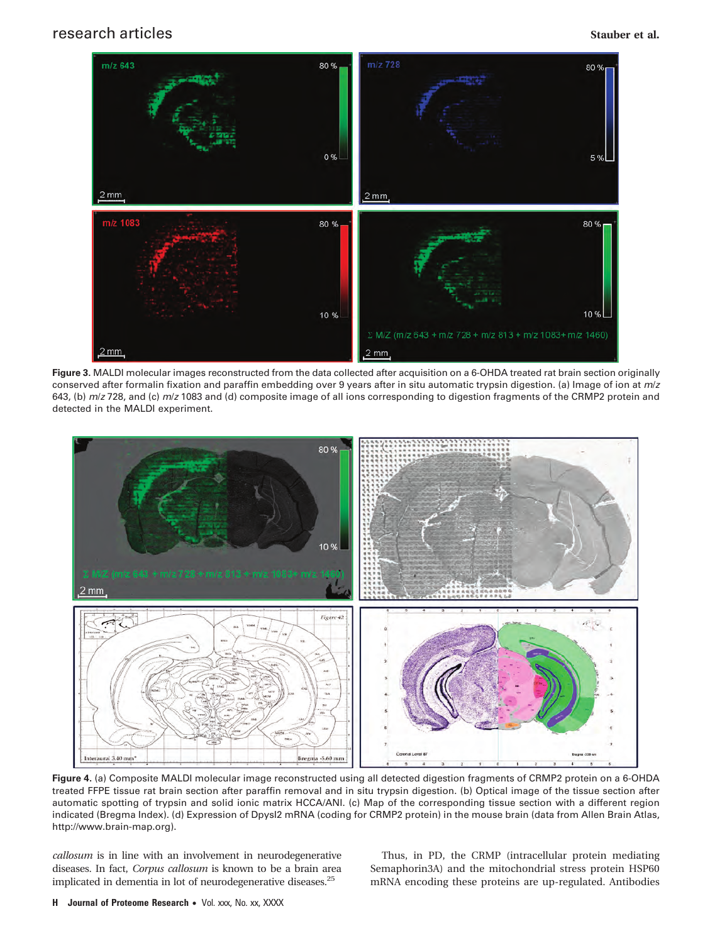

**Figure 3.** MALDI molecular images reconstructed from the data collected after acquisition on a 6-OHDA treated rat brain section originally conserved after formalin fixation and paraffin embedding over 9 years after in situ automatic trypsin digestion. (a) Image of ion at *m*/*z* 643, (b) *m*/*z* 728, and (c) *m*/*z* 1083 and (d) composite image of all ions corresponding to digestion fragments of the CRMP2 protein and detected in the MALDI experiment.



**Figure 4.** (a) Composite MALDI molecular image reconstructed using all detected digestion fragments of CRMP2 protein on a 6-OHDA treated FFPE tissue rat brain section after paraffin removal and in situ trypsin digestion. (b) Optical image of the tissue section after automatic spotting of trypsin and solid ionic matrix HCCA/ANI. (c) Map of the corresponding tissue section with a different region indicated (Bregma Index). (d) Expression of DpysI2 mRNA (coding for CRMP2 protein) in the mouse brain (data from Allen Brain Atlas, http://www.brain-map.org).

*callosum* is in line with an involvement in neurodegenerative diseases. In fact, *Corpus callosum* is known to be a brain area implicated in dementia in lot of neurodegenerative diseases.25

Thus, in PD, the CRMP (intracellular protein mediating Semaphorin3A) and the mitochondrial stress protein HSP60 mRNA encoding these proteins are up-regulated. Antibodies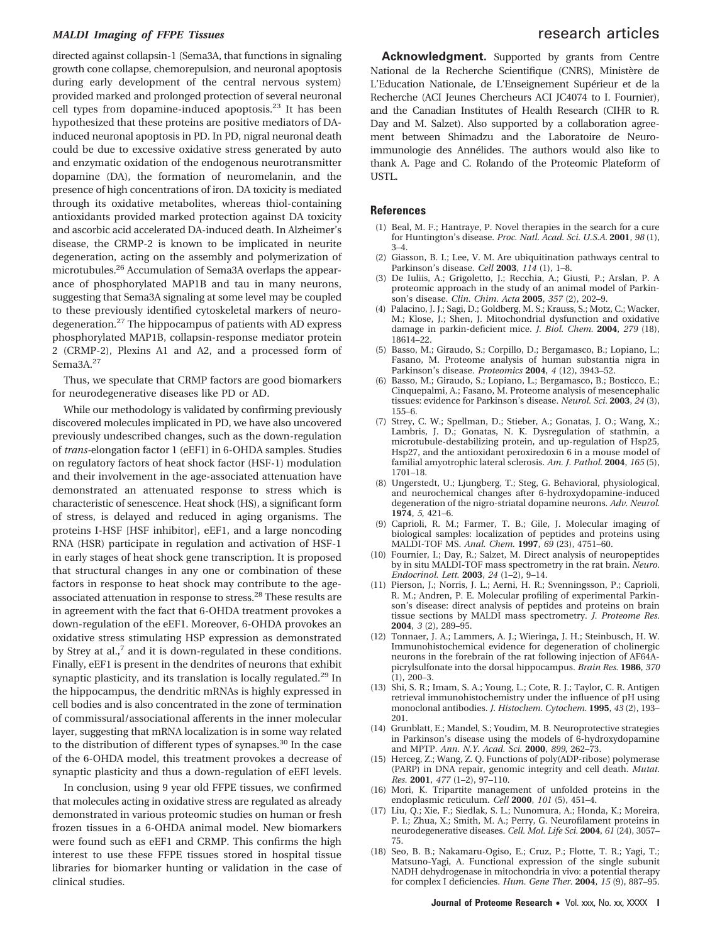## *MALDI Imaging of FFPE Tissues* research articles

directed against collapsin-1 (Sema3A, that functions in signaling growth cone collapse, chemorepulsion, and neuronal apoptosis during early development of the central nervous system) provided marked and prolonged protection of several neuronal cell types from dopamine-induced apoptosis.23 It has been hypothesized that these proteins are positive mediators of DAinduced neuronal apoptosis in PD. In PD, nigral neuronal death could be due to excessive oxidative stress generated by auto and enzymatic oxidation of the endogenous neurotransmitter dopamine (DA), the formation of neuromelanin, and the presence of high concentrations of iron. DA toxicity is mediated through its oxidative metabolites, whereas thiol-containing antioxidants provided marked protection against DA toxicity and ascorbic acid accelerated DA-induced death. In Alzheimer's disease, the CRMP-2 is known to be implicated in neurite degeneration, acting on the assembly and polymerization of microtubules.<sup>26</sup> Accumulation of Sema3A overlaps the appearance of phosphorylated MAP1B and tau in many neurons, suggesting that Sema3A signaling at some level may be coupled to these previously identified cytoskeletal markers of neurodegeneration.<sup>27</sup> The hippocampus of patients with AD express phosphorylated MAP1B, collapsin-response mediator protein 2 (CRMP-2), Plexins A1 and A2, and a processed form of Sema<sub>3</sub>A.<sup>27</sup>

Thus, we speculate that CRMP factors are good biomarkers for neurodegenerative diseases like PD or AD.

While our methodology is validated by confirming previously discovered molecules implicated in PD, we have also uncovered previously undescribed changes, such as the down-regulation of *trans-*elongation factor 1 (eEF1) in 6-OHDA samples. Studies on regulatory factors of heat shock factor (HSF-1) modulation and their involvement in the age-associated attenuation have demonstrated an attenuated response to stress which is characteristic of senescence. Heat shock (HS), a significant form of stress, is delayed and reduced in aging organisms. The proteins I-HSF [HSF inhibitor], eEF1, and a large noncoding RNA (HSR) participate in regulation and activation of HSF-1 in early stages of heat shock gene transcription. It is proposed that structural changes in any one or combination of these factors in response to heat shock may contribute to the ageassociated attenuation in response to stress.28 These results are in agreement with the fact that 6-OHDA treatment provokes a down-regulation of the eEF1. Moreover, 6-OHDA provokes an oxidative stress stimulating HSP expression as demonstrated by Strey at al., $<sup>7</sup>$  and it is down-regulated in these conditions.</sup> Finally, eEF1 is present in the dendrites of neurons that exhibit synaptic plasticity, and its translation is locally regulated.<sup>29</sup> In the hippocampus, the dendritic mRNAs is highly expressed in cell bodies and is also concentrated in the zone of termination of commissural/associational afferents in the inner molecular layer, suggesting that mRNA localization is in some way related to the distribution of different types of synapses.<sup>30</sup> In the case of the 6-OHDA model, this treatment provokes a decrease of synaptic plasticity and thus a down-regulation of eEFI levels.

In conclusion, using 9 year old FFPE tissues, we confirmed that molecules acting in oxidative stress are regulated as already demonstrated in various proteomic studies on human or fresh frozen tissues in a 6-OHDA animal model. New biomarkers were found such as eEF1 and CRMP. This confirms the high interest to use these FFPE tissues stored in hospital tissue libraries for biomarker hunting or validation in the case of clinical studies.

**Acknowledgment.** Supported by grants from Centre National de la Recherche Scientifique (CNRS), Ministère de L'Education Nationale, de L'Enseignement Supérieur et de la Recherche (ACI Jeunes Chercheurs ACI JC4074 to I. Fournier), and the Canadian Institutes of Health Research (CIHR to R. Day and M. Salzet). Also supported by a collaboration agreement between Shimadzu and the Laboratoire de Neuroimmunologie des Annélides. The authors would also like to thank A. Page and C. Rolando of the Proteomic Plateform of USTL.

### **References**

- (1) Beal, M. F.; Hantraye, P. Novel therapies in the search for a cure for Huntington's disease. *Proc. Natl. Acad. Sci. U.S.A.* **2001**, *98* (1), 3–4.
- (2) Giasson, B. I.; Lee, V. M. Are ubiquitination pathways central to Parkinson's disease. *Cell* **2003**, *114* (1), 1–8.
- (3) De Iuliis, A.; Grigoletto, J.; Recchia, A.; Giusti, P.; Arslan, P. A proteomic approach in the study of an animal model of Parkinson's disease. *Clin. Chim. Acta* **2005**, *357* (2), 202–9.
- (4) Palacino, J. J.; Sagi, D.; Goldberg, M. S.; Krauss, S.; Motz, C.; Wacker, M.; Klose, J.; Shen, J. Mitochondrial dysfunction and oxidative damage in parkin-deficient mice. *J. Biol. Chem.* **2004**, *279* (18), 18614–22.
- (5) Basso, M.; Giraudo, S.; Corpillo, D.; Bergamasco, B.; Lopiano, L.; Fasano, M. Proteome analysis of human substantia nigra in Parkinson's disease. *Proteomics* **2004**, *4* (12), 3943–52.
- (6) Basso, M.; Giraudo, S.; Lopiano, L.; Bergamasco, B.; Bosticco, E.; Cinquepalmi, A.; Fasano, M. Proteome analysis of mesencephalic tissues: evidence for Parkinson's disease. *Neurol. Sci.* **2003**, *24* (3), 155–6.
- (7) Strey, C. W.; Spellman, D.; Stieber, A.; Gonatas, J. O.; Wang, X.; Lambris, J. D.; Gonatas, N. K. Dysregulation of stathmin, a microtubule-destabilizing protein, and up-regulation of Hsp25, Hsp27, and the antioxidant peroxiredoxin 6 in a mouse model of familial amyotrophic lateral sclerosis. *Am. J. Pathol.* **2004**, *165* (5), 1701–18.
- (8) Ungerstedt, U.; Ljungberg, T.; Steg, G. Behavioral, physiological, and neurochemical changes after 6-hydroxydopamine-induced degeneration of the nigro-striatal dopamine neurons. *Adv. Neurol.* **1974**, *5*, 421–6.
- (9) Caprioli, R. M.; Farmer, T. B.; Gile, J. Molecular imaging of biological samples: localization of peptides and proteins using MALDI-TOF MS. *Anal. Chem.* **1997**, *69* (23), 4751–60.
- (10) Fournier, I.; Day, R.; Salzet, M. Direct analysis of neuropeptides by in situ MALDI-TOF mass spectrometry in the rat brain. *Neuro. Endocrinol. Lett.* **2003**, *24* (1–2), 9–14.
- (11) Pierson, J.; Norris, J. L.; Aerni, H. R.; Svenningsson, P.; Caprioli, R. M.; Andren, P. E. Molecular profiling of experimental Parkinson's disease: direct analysis of peptides and proteins on brain tissue sections by MALDI mass spectrometry. *J. Proteome Res.* **2004**, *3* (2), 289–95.
- (12) Tonnaer, J. A.; Lammers, A. J.; Wieringa, J. H.; Steinbusch, H. W. Immunohistochemical evidence for degeneration of cholinergic neurons in the forebrain of the rat following injection of AF64Apicrylsulfonate into the dorsal hippocampus. *Brain Res.* **1986**, *370* (1), 200–3.
- (13) Shi, S. R.; Imam, S. A.; Young, L.; Cote, R. J.; Taylor, C. R. Antigen retrieval immunohistochemistry under the influence of pH using monoclonal antibodies. *J. Histochem. Cytochem.* **1995**, *43* (2), 193– 201.
- (14) Grunblatt, E.; Mandel, S.; Youdim, M. B. Neuroprotective strategies in Parkinson's disease using the models of 6-hydroxydopamine and MPTP. *Ann. N.Y. Acad. Sci.* **2000**, *899*, 262–73.
- (15) Herceg, Z.; Wang, Z. Q. Functions of poly(ADP-ribose) polymerase (PARP) in DNA repair, genomic integrity and cell death. *Mutat. Res.* **2001**, *477* (1–2), 97–110.
- (16) Mori, K. Tripartite management of unfolded proteins in the endoplasmic reticulum. *Cell* **2000**, *101* (5), 451–4.
- (17) Liu, Q.; Xie, F.; Siedlak, S. L.; Nunomura, A.; Honda, K.; Moreira, P. I.; Zhua, X.; Smith, M. A.; Perry, G. Neurofilament proteins in neurodegenerative diseases. *Cell. Mol. Life Sci.* **2004**, *61* (24), 3057– 75.
- (18) Seo, B. B.; Nakamaru-Ogiso, E.; Cruz, P.; Flotte, T. R.; Yagi, T.; Matsuno-Yagi, A. Functional expression of the single subunit NADH dehydrogenase in mitochondria in vivo: a potential therapy for complex I deficiencies. *Hum. Gene Ther.* **2004**, *15* (9), 887–95.